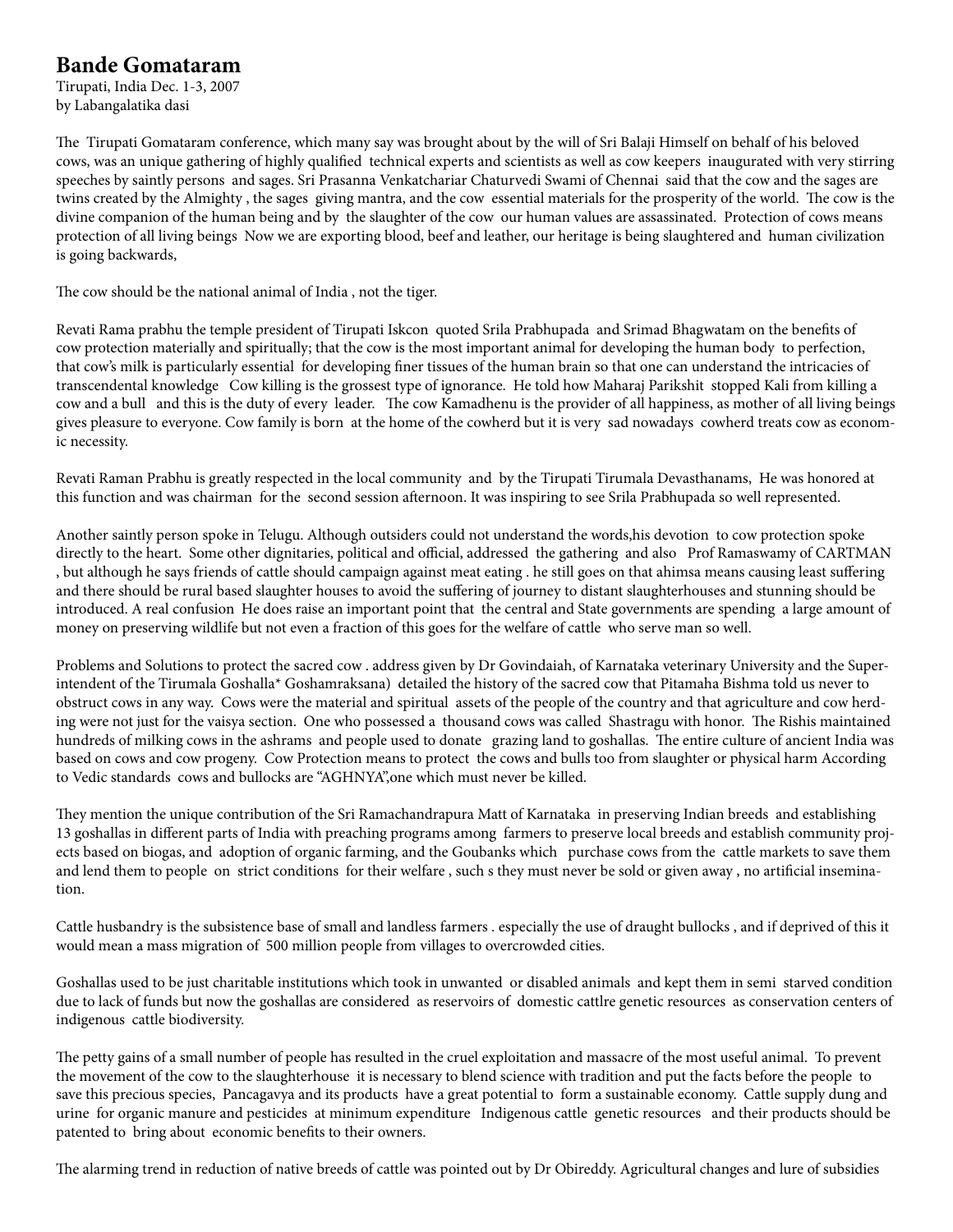## **Bande Gomataram**

Tirupati, India Dec. 1-3, 2007 by Labangalatika dasi

The Tirupati Gomataram conference, which many say was brought about by the will of Sri Balaji Himself on behalf of his beloved cows, was an unique gathering of highly qualified technical experts and scientists as well as cow keepers inaugurated with very stirring speeches by saintly persons and sages. Sri Prasanna Venkatchariar Chaturvedi Swami of Chennai said that the cow and the sages are twins created by the Almighty , the sages giving mantra, and the cow essential materials for the prosperity of the world. The cow is the divine companion of the human being and by the slaughter of the cow our human values are assassinated. Protection of cows means protection of all living beings Now we are exporting blood, beef and leather, our heritage is being slaughtered and human civilization is going backwards,

The cow should be the national animal of India , not the tiger.

Revati Rama prabhu the temple president of Tirupati Iskcon quoted Srila Prabhupada and Srimad Bhagwatam on the benefits of cow protection materially and spiritually; that the cow is the most important animal for developing the human body to perfection, that cow's milk is particularly essential for developing finer tissues of the human brain so that one can understand the intricacies of transcendental knowledge Cow killing is the grossest type of ignorance. He told how Maharaj Parikshit stopped Kali from killing a cow and a bull and this is the duty of every leader. The cow Kamadhenu is the provider of all happiness, as mother of all living beings gives pleasure to everyone. Cow family is born at the home of the cowherd but it is very sad nowadays cowherd treats cow as economic necessity.

Revati Raman Prabhu is greatly respected in the local community and by the Tirupati Tirumala Devasthanams, He was honored at this function and was chairman for the second session afternoon. It was inspiring to see Srila Prabhupada so well represented.

Another saintly person spoke in Telugu. Although outsiders could not understand the words,his devotion to cow protection spoke directly to the heart. Some other dignitaries, political and official, addressed the gathering and also Prof Ramaswamy of CARTMAN , but although he says friends of cattle should campaign against meat eating . he still goes on that ahimsa means causing least suffering and there should be rural based slaughter houses to avoid the suffering of journey to distant slaughterhouses and stunning should be introduced. A real confusion He does raise an important point that the central and State governments are spending a large amount of money on preserving wildlife but not even a fraction of this goes for the welfare of cattle who serve man so well.

Problems and Solutions to protect the sacred cow . address given by Dr Govindaiah, of Karnataka veterinary University and the Superintendent of the Tirumala Goshalla\* Goshamraksana) detailed the history of the sacred cow that Pitamaha Bishma told us never to obstruct cows in any way. Cows were the material and spiritual assets of the people of the country and that agriculture and cow herding were not just for the vaisya section. One who possessed a thousand cows was called Shastragu with honor. The Rishis maintained hundreds of milking cows in the ashrams and people used to donate grazing land to goshallas. The entire culture of ancient India was based on cows and cow progeny. Cow Protection means to protect the cows and bulls too from slaughter or physical harm According to Vedic standards cows and bullocks are "AGHNYA",one which must never be killed.

They mention the unique contribution of the Sri Ramachandrapura Matt of Karnataka in preserving Indian breeds and establishing 13 goshallas in different parts of India with preaching programs among farmers to preserve local breeds and establish community projects based on biogas, and adoption of organic farming, and the Goubanks which purchase cows from the cattle markets to save them and lend them to people on strict conditions for their welfare , such s they must never be sold or given away , no artificial insemination.

Cattle husbandry is the subsistence base of small and landless farmers . especially the use of draught bullocks , and if deprived of this it would mean a mass migration of 500 million people from villages to overcrowded cities.

Goshallas used to be just charitable institutions which took in unwanted or disabled animals and kept them in semi starved condition due to lack of funds but now the goshallas are considered as reservoirs of domestic cattlre genetic resources as conservation centers of indigenous cattle biodiversity.

The petty gains of a small number of people has resulted in the cruel exploitation and massacre of the most useful animal. To prevent the movement of the cow to the slaughterhouse it is necessary to blend science with tradition and put the facts before the people to save this precious species, Pancagavya and its products have a great potential to form a sustainable economy. Cattle supply dung and urine for organic manure and pesticides at minimum expenditure Indigenous cattle genetic resources and their products should be patented to bring about economic benefits to their owners.

The alarming trend in reduction of native breeds of cattle was pointed out by Dr Obireddy. Agricultural changes and lure of subsidies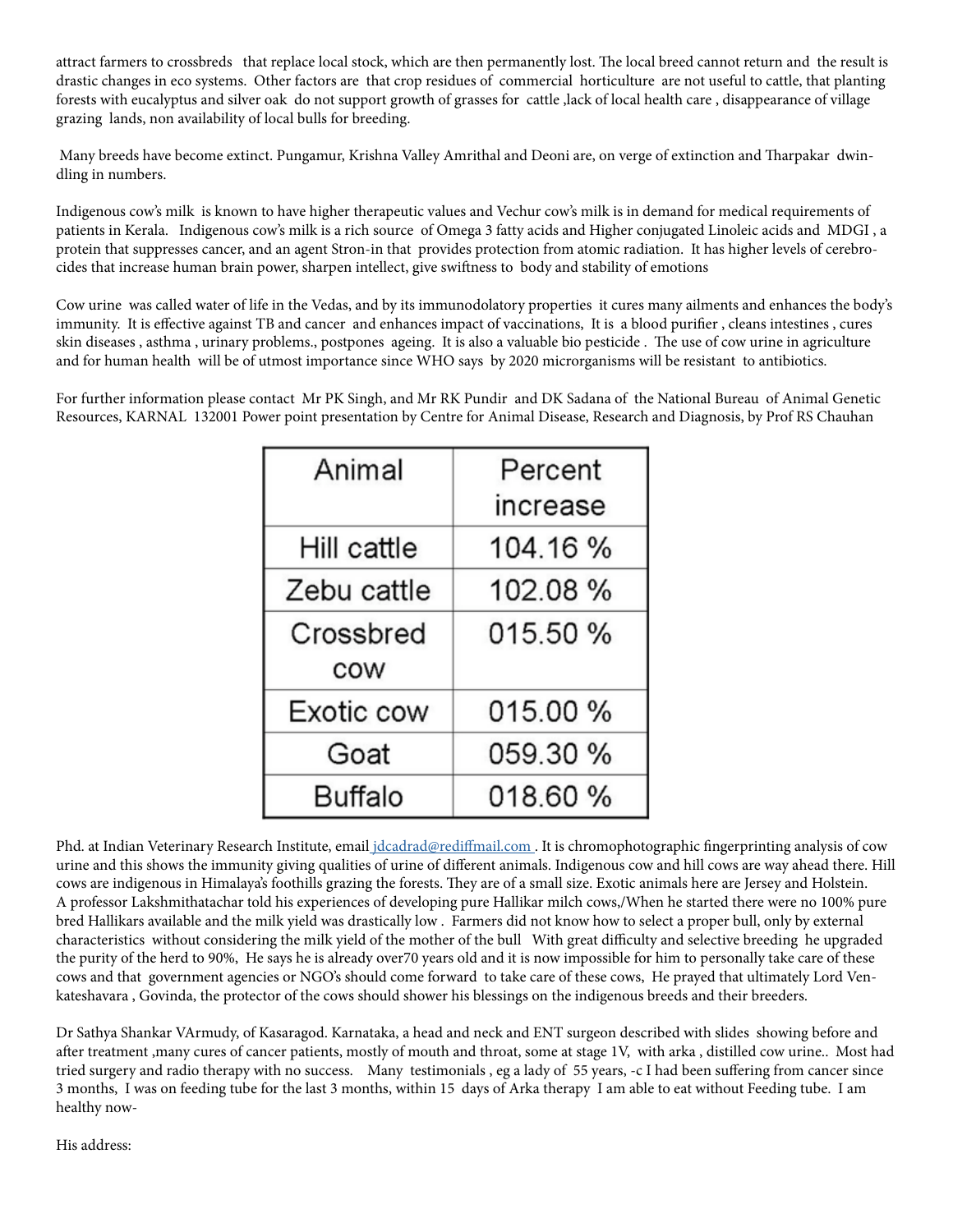attract farmers to crossbreds that replace local stock, which are then permanently lost. The local breed cannot return and the result is drastic changes in eco systems. Other factors are that crop residues of commercial horticulture are not useful to cattle, that planting forests with eucalyptus and silver oak do not support growth of grasses for cattle ,lack of local health care , disappearance of village grazing lands, non availability of local bulls for breeding.

 Many breeds have become extinct. Pungamur, Krishna Valley Amrithal and Deoni are, on verge of extinction and Tharpakar dwindling in numbers.

Indigenous cow's milk is known to have higher therapeutic values and Vechur cow's milk is in demand for medical requirements of patients in Kerala. Indigenous cow's milk is a rich source of Omega 3 fatty acids and Higher conjugated Linoleic acids and MDGI , a protein that suppresses cancer, and an agent Stron-in that provides protection from atomic radiation. It has higher levels of cerebrocides that increase human brain power, sharpen intellect, give swiftness to body and stability of emotions

Cow urine was called water of life in the Vedas, and by its immunodolatory properties it cures many ailments and enhances the body's immunity. It is effective against TB and cancer and enhances impact of vaccinations, It is a blood purifier , cleans intestines , cures skin diseases , asthma , urinary problems., postpones ageing. It is also a valuable bio pesticide . The use of cow urine in agriculture and for human health will be of utmost importance since WHO says by 2020 microrganisms will be resistant to antibiotics.

For further information please contact Mr PK Singh, and Mr RK Pundir and DK Sadana of the National Bureau of Animal Genetic Resources, KARNAL 132001 Power point presentation by Centre for Animal Disease, Research and Diagnosis, by Prof RS Chauhan

| Animal      | Percent  |  |  |
|-------------|----------|--|--|
|             | increase |  |  |
| Hill cattle | 104.16%  |  |  |
| Zebu cattle | 102.08%  |  |  |
| Crossbred   | 015.50 % |  |  |
| COW         |          |  |  |
| Exotic cow  | 015.00 % |  |  |
| Goat        | 059.30 % |  |  |
| Buffalo     | 018.60 % |  |  |

Phd. at Indian Veterinary Research Institute, email jdcadrad@rediffmail.com. It is chromophotographic fingerprinting analysis of cow urine and this shows the immunity giving qualities of urine of different animals. Indigenous cow and hill cows are way ahead there. Hill cows are indigenous in Himalaya's foothills grazing the forests. They are of a small size. Exotic animals here are Jersey and Holstein. A professor Lakshmithatachar told his experiences of developing pure Hallikar milch cows,/When he started there were no 100% pure bred Hallikars available and the milk yield was drastically low . Farmers did not know how to select a proper bull, only by external characteristics without considering the milk yield of the mother of the bull With great difficulty and selective breeding he upgraded the purity of the herd to 90%, He says he is already over70 years old and it is now impossible for him to personally take care of these cows and that government agencies or NGO's should come forward to take care of these cows, He prayed that ultimately Lord Venkateshavara , Govinda, the protector of the cows should shower his blessings on the indigenous breeds and their breeders.

Dr Sathya Shankar VArmudy, of Kasaragod. Karnataka, a head and neck and ENT surgeon described with slides showing before and after treatment ,many cures of cancer patients, mostly of mouth and throat, some at stage 1V, with arka , distilled cow urine.. Most had tried surgery and radio therapy with no success. Many testimonials , eg a lady of 55 years, -c I had been suffering from cancer since 3 months, I was on feeding tube for the last 3 months, within 15 days of Arka therapy I am able to eat without Feeding tube. I am healthy now-

His address: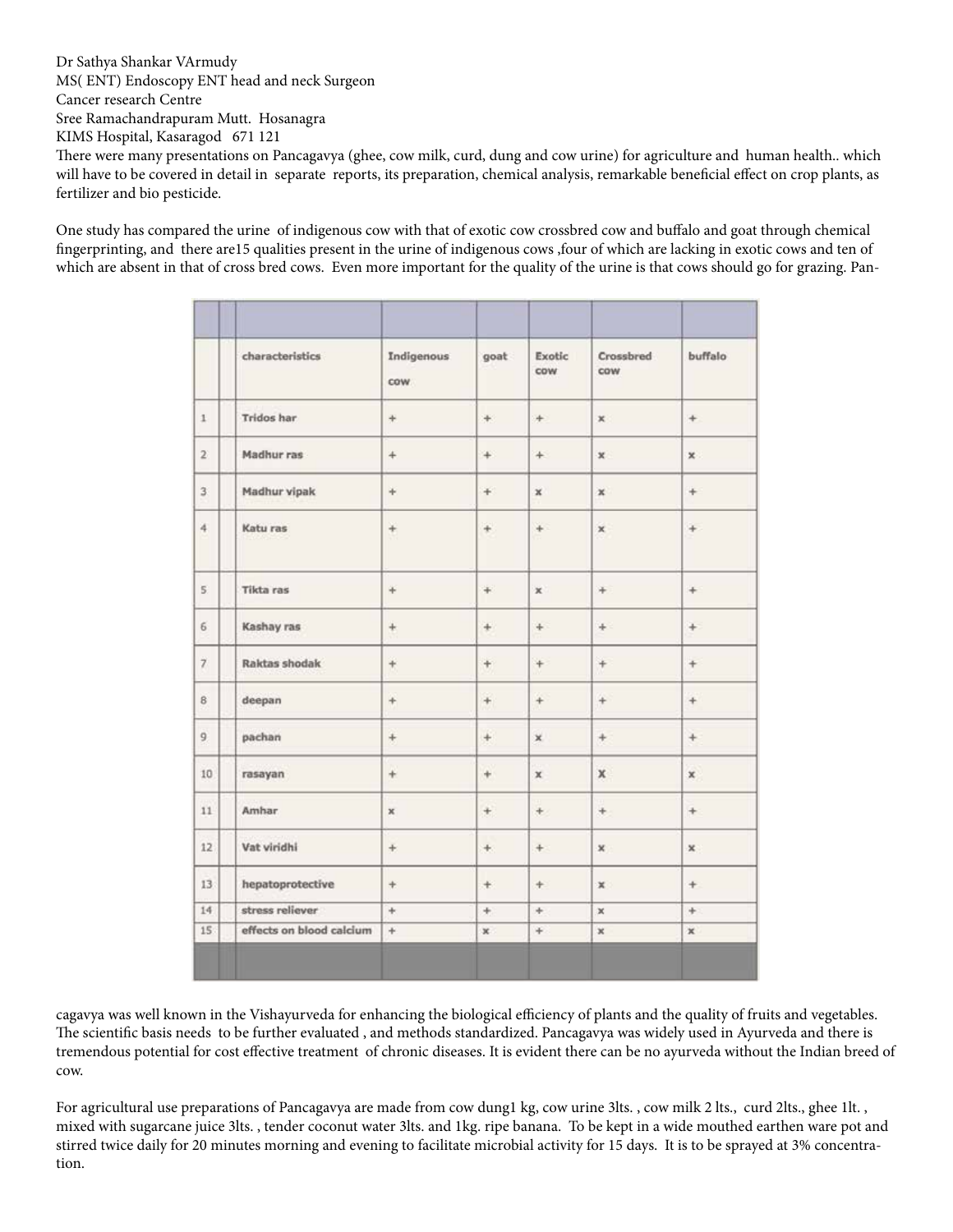Dr Sathya Shankar VArmudy MS( ENT) Endoscopy ENT head and neck Surgeon

Cancer research Centre

Sree Ramachandrapuram Mutt. Hosanagra

KIMS Hospital, Kasaragod 671 121

There were many presentations on Pancagavya (ghee, cow milk, curd, dung and cow urine) for agriculture and human health.. which will have to be covered in detail in separate reports, its preparation, chemical analysis, remarkable beneficial effect on crop plants, as fertilizer and bio pesticide.

One study has compared the urine of indigenous cow with that of exotic cow crossbred cow and buffalo and goat through chemical fingerprinting, and there are15 qualities present in the urine of indigenous cows ,four of which are lacking in exotic cows and ten of which are absent in that of cross bred cows. Even more important for the quality of the urine is that cows should go for grazing. Pan-

|                 | characteristics          | Indigenous<br>cow. | goat                             | Exotic<br>cow  | Crossbred<br>cow | buffalo.     |
|-----------------|--------------------------|--------------------|----------------------------------|----------------|------------------|--------------|
| $\mathbbm{1}$   | Tridos har               | $+$                | $\pm$                            | ÷              | ×                | $^{+}$       |
| $\overline{2}$  | Madhur ras               | $+$                | $+$                              | $+$            | $\mathbbm{X}$    | ×.           |
| 3               | Madhur vipak             | ÷.                 | $+$                              | $\mathbf x$    | $\mathbf x$      | $\ddot{}$    |
| 4.              | Katu ras                 | $^{+}$             | $\pm$                            | $+$            | $\pmb{\times}$   | $+$          |
| 5               | Tikta ras                | $+$                | $\begin{array}{c} + \end{array}$ | $\pmb{\times}$ | $+$              | $\ddot{}$    |
| $\sqrt{6}$      | Kashay ras               | $\color{red}{+}$   | $\begin{array}{c} + \end{array}$ | $+$            | $\pm$            | $+$          |
| $\overline{7}$  | Raktas shodak            | $+$                | $+$                              | $+$            | $+$              | $+$          |
| $\mathsf B$     | deepan                   | $^{+}$             | $^{+}$                           | $+$            | $+$              | $^{+}$       |
| 9               | pachan                   | $+$                | $^{+}$                           | ×              | $+$              | $^{+}$       |
| 10              | rasayan                  | $\ddot{}$          | $\begin{array}{c} + \end{array}$ | x              | x                | $\mathbf x$  |
| 11              | <b>Amhar</b>             | $\mathbf{x}$       | $+$                              | $+$            | $+$              | $^{+}$       |
| 12 <sup>°</sup> | Vat viridhi              | $+$                | $\pm$                            | $+$            | $\mathbf{x}$     | $\mathbf{x}$ |
| 13              | hepatoprotective         | $\ddot{}$          | $+$                              | $+$            | x                | $+$          |
| 14              | stress reliever          | $+$                | $+$                              | ÷.             | $\mathbb X$      | ÷.           |
| 15              | effects on blood calcium | $\ddot{}$          | x                                | ¥              | $\mathbf x$      | $\mathbf{x}$ |

cagavya was well known in the Vishayurveda for enhancing the biological efficiency of plants and the quality of fruits and vegetables. The scientific basis needs to be further evaluated , and methods standardized. Pancagavya was widely used in Ayurveda and there is tremendous potential for cost effective treatment of chronic diseases. It is evident there can be no ayurveda without the Indian breed of cow.

For agricultural use preparations of Pancagavya are made from cow dung1 kg, cow urine 3lts. , cow milk 2 lts., curd 2lts., ghee 1lt. , mixed with sugarcane juice 3lts. , tender coconut water 3lts. and 1kg. ripe banana. To be kept in a wide mouthed earthen ware pot and stirred twice daily for 20 minutes morning and evening to facilitate microbial activity for 15 days. It is to be sprayed at 3% concentration.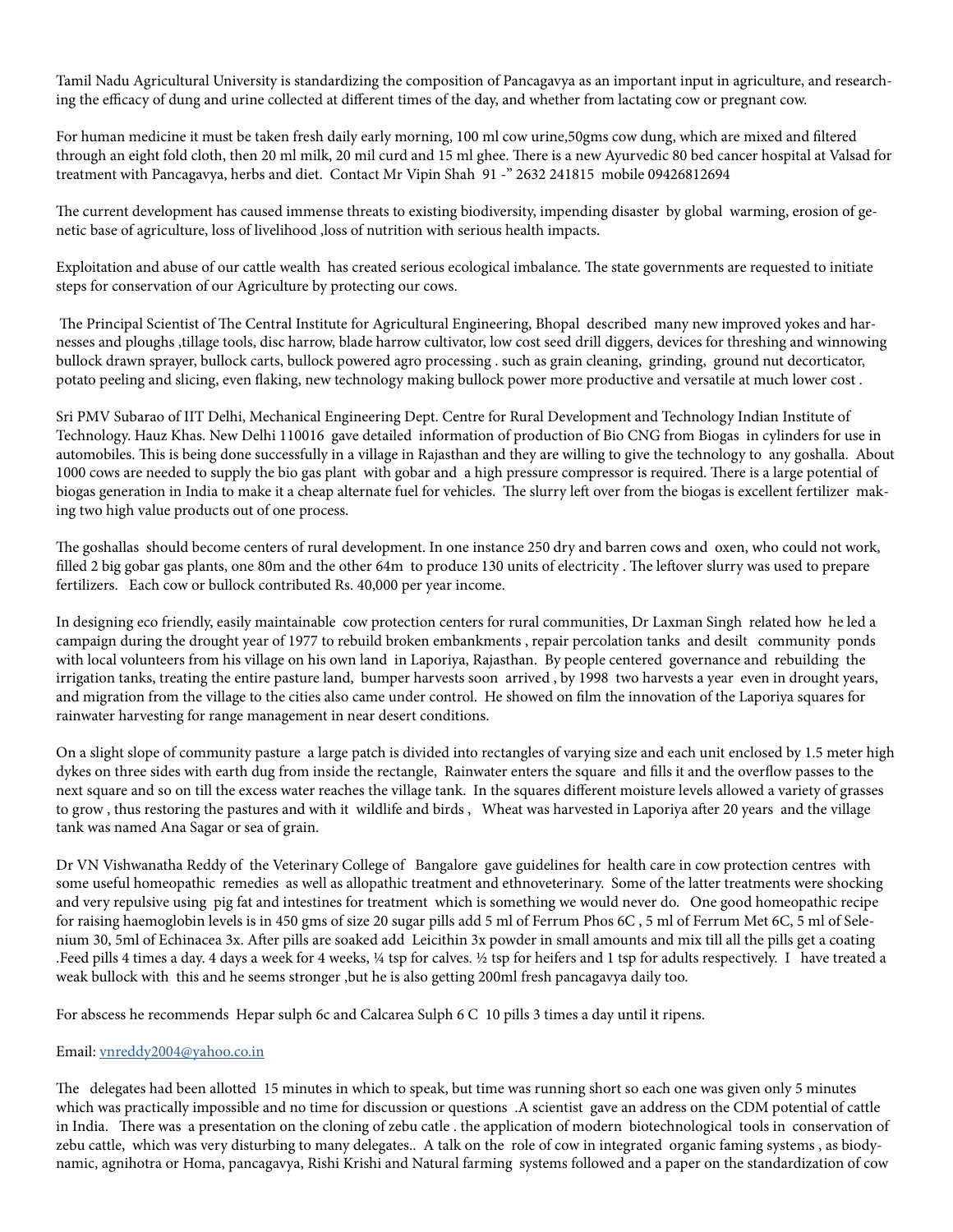Tamil Nadu Agricultural University is standardizing the composition of Pancagavya as an important input in agriculture, and researching the efficacy of dung and urine collected at different times of the day, and whether from lactating cow or pregnant cow.

For human medicine it must be taken fresh daily early morning, 100 ml cow urine,50gms cow dung, which are mixed and filtered through an eight fold cloth, then 20 ml milk, 20 mil curd and 15 ml ghee. There is a new Ayurvedic 80 bed cancer hospital at Valsad for treatment with Pancagavya, herbs and diet. Contact Mr Vipin Shah 91 -" 2632 241815 mobile 09426812694

The current development has caused immense threats to existing biodiversity, impending disaster by global warming, erosion of genetic base of agriculture, loss of livelihood ,loss of nutrition with serious health impacts.

Exploitation and abuse of our cattle wealth has created serious ecological imbalance. The state governments are requested to initiate steps for conservation of our Agriculture by protecting our cows.

 The Principal Scientist of The Central Institute for Agricultural Engineering, Bhopal described many new improved yokes and harnesses and ploughs ,tillage tools, disc harrow, blade harrow cultivator, low cost seed drill diggers, devices for threshing and winnowing bullock drawn sprayer, bullock carts, bullock powered agro processing . such as grain cleaning, grinding, ground nut decorticator, potato peeling and slicing, even flaking, new technology making bullock power more productive and versatile at much lower cost .

Sri PMV Subarao of IIT Delhi, Mechanical Engineering Dept. Centre for Rural Development and Technology Indian Institute of Technology. Hauz Khas. New Delhi 110016 gave detailed information of production of Bio CNG from Biogas in cylinders for use in automobiles. This is being done successfully in a village in Rajasthan and they are willing to give the technology to any goshalla. About 1000 cows are needed to supply the bio gas plant with gobar and a high pressure compressor is required. There is a large potential of biogas generation in India to make it a cheap alternate fuel for vehicles. The slurry left over from the biogas is excellent fertilizer making two high value products out of one process.

The goshallas should become centers of rural development. In one instance 250 dry and barren cows and oxen, who could not work, filled 2 big gobar gas plants, one 80m and the other 64m to produce 130 units of electricity . The leftover slurry was used to prepare fertilizers. Each cow or bullock contributed Rs. 40,000 per year income.

In designing eco friendly, easily maintainable cow protection centers for rural communities, Dr Laxman Singh related how he led a campaign during the drought year of 1977 to rebuild broken embankments , repair percolation tanks and desilt community ponds with local volunteers from his village on his own land in Laporiya, Rajasthan. By people centered governance and rebuilding the irrigation tanks, treating the entire pasture land, bumper harvests soon arrived , by 1998 two harvests a year even in drought years, and migration from the village to the cities also came under control. He showed on film the innovation of the Laporiya squares for rainwater harvesting for range management in near desert conditions.

On a slight slope of community pasture a large patch is divided into rectangles of varying size and each unit enclosed by 1.5 meter high dykes on three sides with earth dug from inside the rectangle, Rainwater enters the square and fills it and the overflow passes to the next square and so on till the excess water reaches the village tank. In the squares different moisture levels allowed a variety of grasses to grow , thus restoring the pastures and with it wildlife and birds , Wheat was harvested in Laporiya after 20 years and the village tank was named Ana Sagar or sea of grain.

Dr VN Vishwanatha Reddy of the Veterinary College of Bangalore gave guidelines for health care in cow protection centres with some useful homeopathic remedies as well as allopathic treatment and ethnoveterinary. Some of the latter treatments were shocking and very repulsive using pig fat and intestines for treatment which is something we would never do. One good homeopathic recipe for raising haemoglobin levels is in 450 gms of size 20 sugar pills add 5 ml of Ferrum Phos 6C , 5 ml of Ferrum Met 6C, 5 ml of Selenium 30, 5ml of Echinacea 3x. After pills are soaked add Leicithin 3x powder in small amounts and mix till all the pills get a coating .Feed pills 4 times a day. 4 days a week for 4 weeks, ¼ tsp for calves. ½ tsp for heifers and 1 tsp for adults respectively. I have treated a weak bullock with this and he seems stronger ,but he is also getting 200ml fresh pancagavya daily too.

For abscess he recommends Hepar sulph 6c and Calcarea Sulph 6 C 10 pills 3 times a day until it ripens.

## Email: vnreddy2004@yahoo.co.in

The delegates had been allotted 15 minutes in which to speak, but time was running short so each one was given only 5 minutes which was practically impossible and no time for discussion or questions .A scientist gave an address on the CDM potential of cattle in India. There was a presentation on the cloning of zebu catle . the application of modern biotechnological tools in conservation of zebu cattle, which was very disturbing to many delegates.. A talk on the role of cow in integrated organic faming systems , as biodynamic, agnihotra or Homa, pancagavya, Rishi Krishi and Natural farming systems followed and a paper on the standardization of cow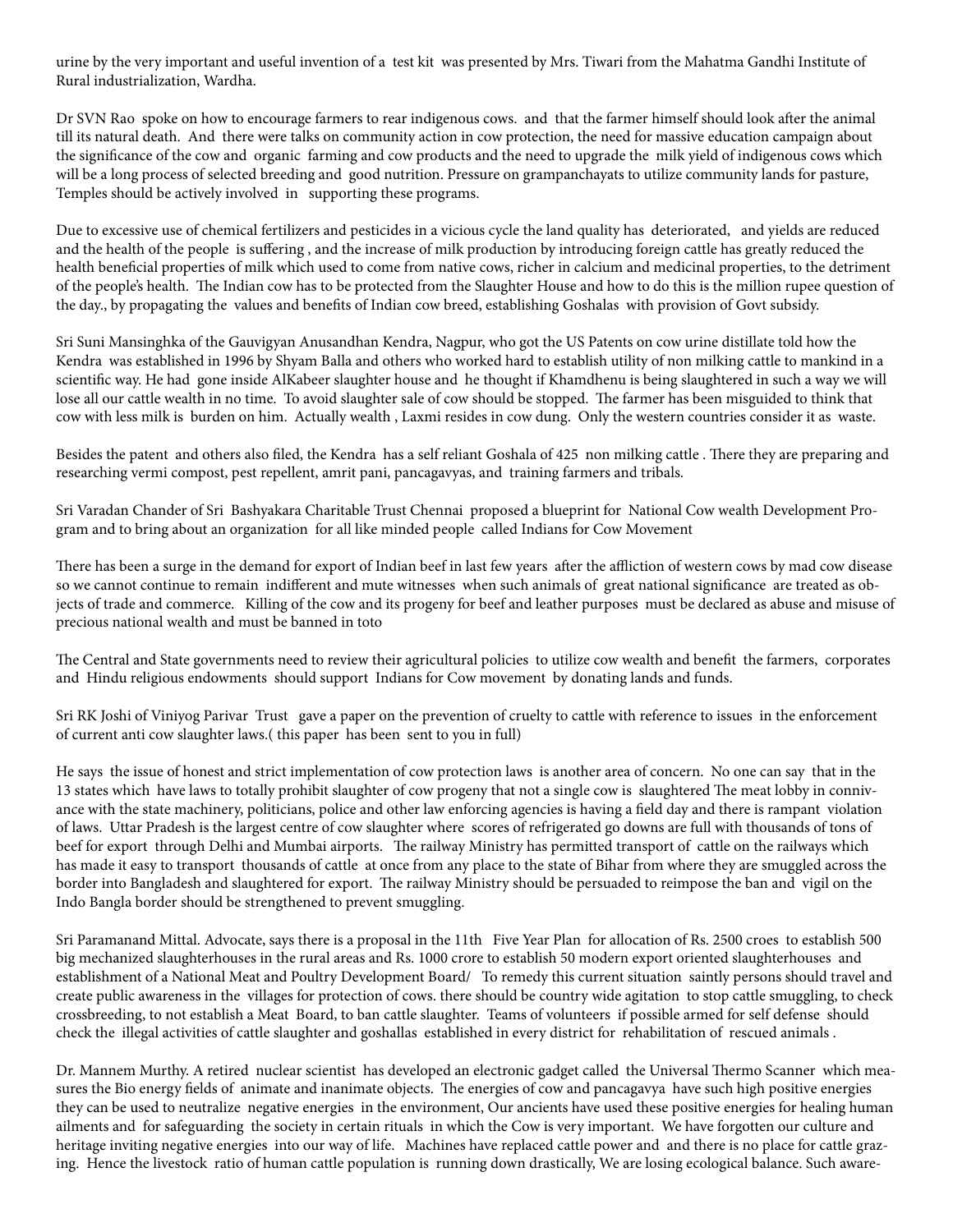urine by the very important and useful invention of a test kit was presented by Mrs. Tiwari from the Mahatma Gandhi Institute of Rural industrialization, Wardha.

Dr SVN Rao spoke on how to encourage farmers to rear indigenous cows. and that the farmer himself should look after the animal till its natural death. And there were talks on community action in cow protection, the need for massive education campaign about the significance of the cow and organic farming and cow products and the need to upgrade the milk yield of indigenous cows which will be a long process of selected breeding and good nutrition. Pressure on grampanchayats to utilize community lands for pasture, Temples should be actively involved in supporting these programs.

Due to excessive use of chemical fertilizers and pesticides in a vicious cycle the land quality has deteriorated, and yields are reduced and the health of the people is suffering , and the increase of milk production by introducing foreign cattle has greatly reduced the health beneficial properties of milk which used to come from native cows, richer in calcium and medicinal properties, to the detriment of the people's health. The Indian cow has to be protected from the Slaughter House and how to do this is the million rupee question of the day., by propagating the values and benefits of Indian cow breed, establishing Goshalas with provision of Govt subsidy.

Sri Suni Mansinghka of the Gauvigyan Anusandhan Kendra, Nagpur, who got the US Patents on cow urine distillate told how the Kendra was established in 1996 by Shyam Balla and others who worked hard to establish utility of non milking cattle to mankind in a scientific way. He had gone inside AlKabeer slaughter house and he thought if Khamdhenu is being slaughtered in such a way we will lose all our cattle wealth in no time. To avoid slaughter sale of cow should be stopped. The farmer has been misguided to think that cow with less milk is burden on him. Actually wealth , Laxmi resides in cow dung. Only the western countries consider it as waste.

Besides the patent and others also filed, the Kendra has a self reliant Goshala of 425 non milking cattle . There they are preparing and researching vermi compost, pest repellent, amrit pani, pancagavyas, and training farmers and tribals.

Sri Varadan Chander of Sri Bashyakara Charitable Trust Chennai proposed a blueprint for National Cow wealth Development Program and to bring about an organization for all like minded people called Indians for Cow Movement

There has been a surge in the demand for export of Indian beef in last few years after the affliction of western cows by mad cow disease so we cannot continue to remain indifferent and mute witnesses when such animals of great national significance are treated as objects of trade and commerce. Killing of the cow and its progeny for beef and leather purposes must be declared as abuse and misuse of precious national wealth and must be banned in toto

The Central and State governments need to review their agricultural policies to utilize cow wealth and benefit the farmers, corporates and Hindu religious endowments should support Indians for Cow movement by donating lands and funds.

Sri RK Joshi of Viniyog Parivar Trust gave a paper on the prevention of cruelty to cattle with reference to issues in the enforcement of current anti cow slaughter laws.( this paper has been sent to you in full)

He says the issue of honest and strict implementation of cow protection laws is another area of concern. No one can say that in the 13 states which have laws to totally prohibit slaughter of cow progeny that not a single cow is slaughtered The meat lobby in connivance with the state machinery, politicians, police and other law enforcing agencies is having a field day and there is rampant violation of laws. Uttar Pradesh is the largest centre of cow slaughter where scores of refrigerated go downs are full with thousands of tons of beef for export through Delhi and Mumbai airports. The railway Ministry has permitted transport of cattle on the railways which has made it easy to transport thousands of cattle at once from any place to the state of Bihar from where they are smuggled across the border into Bangladesh and slaughtered for export. The railway Ministry should be persuaded to reimpose the ban and vigil on the Indo Bangla border should be strengthened to prevent smuggling.

Sri Paramanand Mittal. Advocate, says there is a proposal in the 11th Five Year Plan for allocation of Rs. 2500 croes to establish 500 big mechanized slaughterhouses in the rural areas and Rs. 1000 crore to establish 50 modern export oriented slaughterhouses and establishment of a National Meat and Poultry Development Board/ To remedy this current situation saintly persons should travel and create public awareness in the villages for protection of cows. there should be country wide agitation to stop cattle smuggling, to check crossbreeding, to not establish a Meat Board, to ban cattle slaughter. Teams of volunteers if possible armed for self defense should check the illegal activities of cattle slaughter and goshallas established in every district for rehabilitation of rescued animals .

Dr. Mannem Murthy. A retired nuclear scientist has developed an electronic gadget called the Universal Thermo Scanner which measures the Bio energy fields of animate and inanimate objects. The energies of cow and pancagavya have such high positive energies they can be used to neutralize negative energies in the environment, Our ancients have used these positive energies for healing human ailments and for safeguarding the society in certain rituals in which the Cow is very important. We have forgotten our culture and heritage inviting negative energies into our way of life. Machines have replaced cattle power and and there is no place for cattle grazing. Hence the livestock ratio of human cattle population is running down drastically, We are losing ecological balance. Such aware